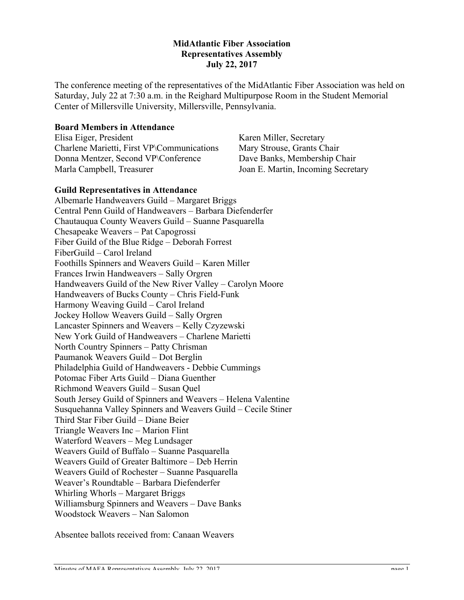## **MidAtlantic Fiber Association Representatives Assembly July 22, 2017**

The conference meeting of the representatives of the MidAtlantic Fiber Association was held on Saturday, July 22 at 7:30 a.m. in the Reighard Multipurpose Room in the Student Memorial Center of Millersville University, Millersville, Pennsylvania.

## **Board Members in Attendance**

Elisa Eiger, President Charlene Marietti, First VP\Communications Donna Mentzer, Second VP\Conference Marla Campbell, Treasurer

Karen Miller, Secretary Mary Strouse, Grants Chair Dave Banks, Membership Chair Joan E. Martin, Incoming Secretary

## **Guild Representatives in Attendance**

Albemarle Handweavers Guild – Margaret Briggs Central Penn Guild of Handweavers – Barbara Diefenderfer Chautauqua County Weavers Guild – Suanne Pasquarella Chesapeake Weavers – Pat Capogrossi Fiber Guild of the Blue Ridge – Deborah Forrest FiberGuild – Carol Ireland Foothills Spinners and Weavers Guild – Karen Miller Frances Irwin Handweavers – Sally Orgren Handweavers Guild of the New River Valley – Carolyn Moore Handweavers of Bucks County – Chris Field-Funk Harmony Weaving Guild – Carol Ireland Jockey Hollow Weavers Guild – Sally Orgren Lancaster Spinners and Weavers – Kelly Czyzewski New York Guild of Handweavers – Charlene Marietti North Country Spinners – Patty Chrisman Paumanok Weavers Guild – Dot Berglin Philadelphia Guild of Handweavers - Debbie Cummings Potomac Fiber Arts Guild – Diana Guenther Richmond Weavers Guild – Susan Quel South Jersey Guild of Spinners and Weavers – Helena Valentine Susquehanna Valley Spinners and Weavers Guild – Cecile Stiner Third Star Fiber Guild – Diane Beier Triangle Weavers Inc – Marion Flint Waterford Weavers – Meg Lundsager Weavers Guild of Buffalo – Suanne Pasquarella Weavers Guild of Greater Baltimore – Deb Herrin Weavers Guild of Rochester – Suanne Pasquarella Weaver's Roundtable – Barbara Diefenderfer Whirling Whorls – Margaret Briggs Williamsburg Spinners and Weavers – Dave Banks Woodstock Weavers – Nan Salomon

Absentee ballots received from: Canaan Weavers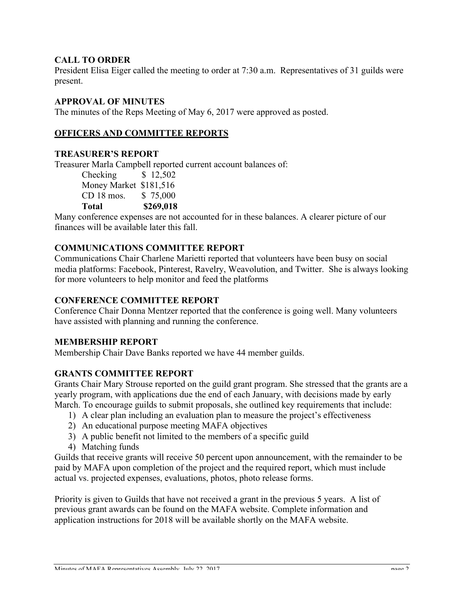# **CALL TO ORDER**

President Elisa Eiger called the meeting to order at 7:30 a.m. Representatives of 31 guilds were present.

# **APPROVAL OF MINUTES**

The minutes of the Reps Meeting of May 6, 2017 were approved as posted.

# **OFFICERS AND COMMITTEE REPORTS**

### **TREASURER'S REPORT**

Treasurer Marla Campbell reported current account balances of:

Checking \$ 12,502 Money Market \$181,516 CD 18 mos. \$ 75,000 **Total \$269,018**

Many conference expenses are not accounted for in these balances. A clearer picture of our finances will be available later this fall.

## **COMMUNICATIONS COMMITTEE REPORT**

Communications Chair Charlene Marietti reported that volunteers have been busy on social media platforms: Facebook, Pinterest, Ravelry, Weavolution, and Twitter. She is always looking for more volunteers to help monitor and feed the platforms

## **CONFERENCE COMMITTEE REPORT**

Conference Chair Donna Mentzer reported that the conference is going well. Many volunteers have assisted with planning and running the conference.

### **MEMBERSHIP REPORT**

Membership Chair Dave Banks reported we have 44 member guilds.

### **GRANTS COMMITTEE REPORT**

Grants Chair Mary Strouse reported on the guild grant program. She stressed that the grants are a yearly program, with applications due the end of each January, with decisions made by early March. To encourage guilds to submit proposals, she outlined key requirements that include:

- 1) A clear plan including an evaluation plan to measure the project's effectiveness
- 2) An educational purpose meeting MAFA objectives
- 3) A public benefit not limited to the members of a specific guild
- 4) Matching funds

Guilds that receive grants will receive 50 percent upon announcement, with the remainder to be paid by MAFA upon completion of the project and the required report, which must include actual vs. projected expenses, evaluations, photos, photo release forms.

Priority is given to Guilds that have not received a grant in the previous 5 years. A list of previous grant awards can be found on the MAFA website. Complete information and application instructions for 2018 will be available shortly on the MAFA website.